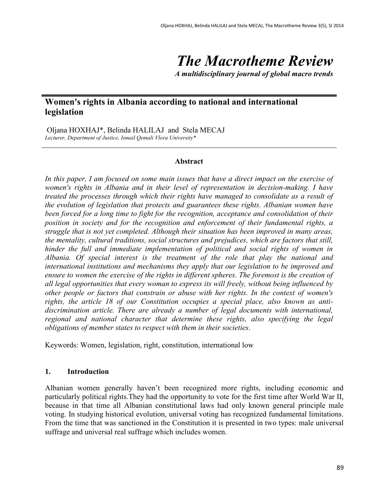# *The Macrotheme Review*

*A multidisciplinary journal of global macro trends*

# **Women's rights in Albania according to national and international legislation**

Oljana HOXHAJ\*, Belinda HALILAJ and Stela MECAJ *Lecturer, Department of Justice, Ismail Qemali Vlora University\**

#### **Abstract**

*In this paper, I am focused on some main issues that have a direct impact on the exercise of women's rights in Albania and in their level of representation in decision-making. I have treated the processes through which their rights have managed to consolidate as a result of the evolution of legislation that protects and guarantees these rights. Albanian women have been forced for a long time to fight for the recognition, acceptance and consolidation of their position in society and for the recognition and enforcement of their fundamental rights, a struggle that is not yet completed. Although their situation has been improved in many areas, the mentality, cultural traditions, social structures and prejudices, which are factors that still, hinder the full and immediate implementation of political and social rights of women in Albania. Of special interest is the treatment of the role that play the national and international institutions and mechanisms they apply that our legislation to be improved and ensure to women the exercise of the rights in different spheres. The foremost is the creation of all legal opportunities that every woman to express its will freely, without being influenced by other people or factors that constrain or abuse with her rights. In the context of women's rights, the article 18 of our Constitution occupies a special place, also known as antidiscrimination article. There are already a number of legal documents with international, regional and national character that determine these rights, also specifying the legal obligations of member states to respect with them in their societies*.

Keywords: Women, legislation, right, constitution, international low

## **1. Introduction**

Albanian women generally haven't been recognized more rights, including economic and particularly political rights.They had the opportunity to vote for the first time after World War II, because in that time all Albanian constitutional laws had only known general principle male voting. In studying historical evolution, universal voting has recognized fundamental limitations. From the time that was sanctioned in the Constitution it is presented in two types: male universal suffrage and universal real suffrage which includes women.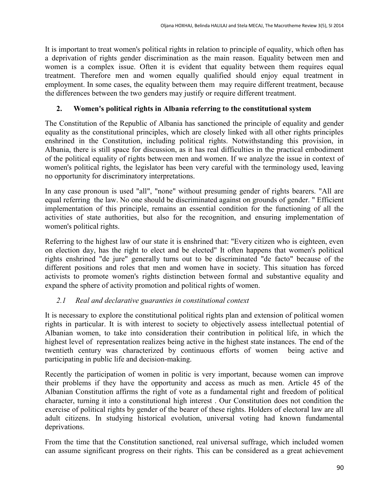It is important to treat women's political rights in relation to principle of equality, which often has a deprivation of rights gender discrimination as the main reason. Equality between men and women is a complex issue. Often it is evident that equality between them requires equal treatment. Therefore men and women equally qualified should enjoy equal treatment in employment. In some cases, the equality between them may require different treatment, because the differences between the two genders may justify or require different treatment.

## **2. Women's political rights in Albania referring to the constitutional system**

The Constitution of the Republic of Albania has sanctioned the principle of equality and gender equality as the constitutional principles, which are closely linked with all other rights principles enshrined in the Constitution, including political rights. Notwithstanding this provision, in Albania, there is still space for discussion, as it has real difficulties in the practical embodiment of the political equality of rights between men and women. If we analyze the issue in context of women's political rights, the legislator has been very careful with the terminology used, leaving no opportunity for discriminatory interpretations.

In any case pronoun is used "all", "none" without presuming gender of rights bearers. "All are equal referring the law. No one should be discriminated against on grounds of gender. " Efficient implementation of this principle, remains an essential condition for the functioning of all the activities of state authorities, but also for the recognition, and ensuring implementation of women's political rights.

Referring to the highest law of our state it is enshrined that: "Every citizen who is eighteen, even on election day, has the right to elect and be elected" It often happens that women's political rights enshrined "de jure" generally turns out to be discriminated "de facto" because of the different positions and roles that men and women have in society. This situation has forced activists to promote women's rights distinction between formal and substantive equality and expand the sphere of activity promotion and political rights of women.

## *2.1 Real and declarative guaranties in constitutional context*

It is necessary to explore the constitutional political rights plan and extension of political women rights in particular. It is with interest to society to objectively assess intellectual potential of Albanian women, to take into consideration their contribution in political life, in which the highest level of representation realizes being active in the highest state instances. The end of the twentieth century was characterized by continuous efforts of women being active and participating in public life and decision-making.

Recently the participation of women in politic is very important, because women can improve their problems if they have the opportunity and access as much as men. Article 45 of the Albanian Constitution affirms the right of vote as a fundamental right and freedom of political character, turning it into a constitutional high interest . Our Constitution does not condition the exercise of political rights by gender of the bearer of these rights. Holders of electoral law are all adult citizens. In studying historical evolution, universal voting had known fundamental deprivations.

From the time that the Constitution sanctioned, real universal suffrage, which included women can assume significant progress on their rights. This can be considered as a great achievement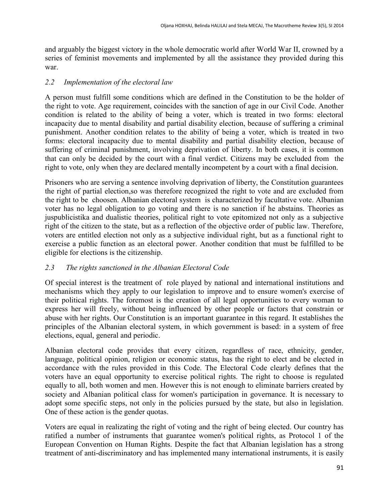and arguably the biggest victory in the whole democratic world after World War II, crowned by a series of feminist movements and implemented by all the assistance they provided during this war.

#### *2.2 Implementation of the electoral law*

A person must fulfill some conditions which are defined in the Constitution to be the holder of the right to vote. Age requirement, coincides with the sanction of age in our Civil Code. Another condition is related to the ability of being a voter, which is treated in two forms: electoral incapacity due to mental disability and partial disability election, because of suffering a criminal punishment. Another condition relates to the ability of being a voter, which is treated in two forms: electoral incapacity due to mental disability and partial disability election, because of suffering of criminal punishment, involving deprivation of liberty. In both cases, it is common that can only be decided by the court with a final verdict. Citizens may be excluded from the right to vote, only when they are declared mentally incompetent by a court with a final decision.

Prisoners who are serving a sentence involving deprivation of liberty, the Constitution guarantees the right of partial election,so was therefore recognized the right to vote and are excluded from the right to be choosen. Albanian electoral system is characterized by facultative vote. Albanian voter has no legal obligation to go voting and there is no sanction if he abstains. Theories as juspublicistika and dualistic theories, political right to vote epitomized not only as a subjective right of the citizen to the state, but as a reflection of the objective order of public law. Therefore, voters are entitled election not only as a subjective individual right, but as a functional right to exercise a public function as an electoral power. Another condition that must be fulfilled to be eligible for elections is the citizenship.

## *2.3 The rights sanctioned in the Albanian Electoral Code*

Of special interest is the treatment of role played by national and international institutions and mechanisms which they apply to our legislation to improve and to ensure women's exercise of their political rights. The foremost is the creation of all legal opportunities to every woman to express her will freely, without being influenced by other people or factors that constrain or abuse with her rights. Our Constitution is an important guarantee in this regard. It establishes the principles of the Albanian electoral system, in which government is based: in a system of free elections, equal, general and periodic.

Albanian electoral code provides that every citizen, regardless of race, ethnicity, gender, language, political opinion, religion or economic status, has the right to elect and be elected in accordance with the rules provided in this Code. The Electoral Code clearly defines that the voters have an equal opportunity to exercise political rights. The right to choose is regulated equally to all, both women and men. However this is not enough to eliminate barriers created by society and Albanian political class for women's participation in governance. It is necessary to adopt some specific steps, not only in the policies pursued by the state, but also in legislation. One of these action is the gender quotas.

Voters are equal in realizating the right of voting and the right of being elected. Our country has ratified a number of instruments that guarantee women's political rights, as Protocol 1 of the European Convention on Human Rights. Despite the fact that Albanian legislation has a strong treatment of anti-discriminatory and has implemented many international instruments, it is easily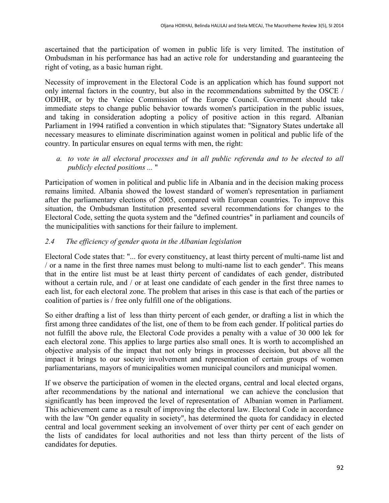ascertained that the participation of women in public life is very limited. The institution of Ombudsman in his performance has had an active role for understanding and guaranteeing the right of voting, as a basic human right.

Necessity of improvement in the Electoral Code is an application which has found support not only internal factors in the country, but also in the recommendations submitted by the OSCE / ODIHR, or by the Venice Commission of the Europe Council. Government should take immediate steps to change public behavior towards women's participation in the public issues, and taking in consideration adopting a policy of positive action in this regard. Albanian Parliament in 1994 ratified a convention in which stipulates that: "Signatory States undertake all necessary measures to eliminate discrimination against women in political and public life of the country. In particular ensures on equal terms with men, the right:

*a. to vote in all electoral processes and in all public referenda and to be elected to all publicly elected positions ...* "

Participation of women in political and public life in Albania and in the decision making process remains limited. Albania showed the lowest standard of women's representation in parliament after the parliamentary elections of 2005, compared with European countries. To improve this situation, the Ombudsman Institution presented several recommendations for changes to the Electoral Code, setting the quota system and the "defined countries" in parliament and councils of the municipalities with sanctions for their failure to implement.

## *2.4 The efficiency of gender quota in the Albanian legislation*

Electoral Code states that: "... for every constituency, at least thirty percent of multi-name list and / or a name in the first three names must belong to multi-name list to each gender". This means that in the entire list must be at least thirty percent of candidates of each gender, distributed without a certain rule, and / or at least one candidate of each gender in the first three names to each list, for each electoral zone. The problem that arises in this case is that each of the parties or coalition of parties is / free only fulfill one of the obligations.

So either drafting a list of less than thirty percent of each gender, or drafting a list in which the first among three candidates of the list, one of them to be from each gender. If political parties do not fulfill the above rule, the Electoral Code provides a penalty with a value of 30 000 lek for each electoral zone. This applies to large parties also small ones. It is worth to accomplished an objective analysis of the impact that not only brings in processes decision, but above all the impact it brings to our society involvement and representation of certain groups of women parliamentarians, mayors of municipalities women municipal councilors and municipal women.

If we observe the participation of women in the elected organs, central and local elected organs, after recommendations by the national and international we can achieve the conclusion that significantly has been improved the level of representation of Albanian women in Parliament. This achievement came as a result of improving the electoral law. Electoral Code in accordance with the law "On gender equality in society", has determined the quota for candidacy in elected central and local government seeking an involvement of over thirty per cent of each gender on the lists of candidates for local authorities and not less than thirty percent of the lists of candidates for deputies.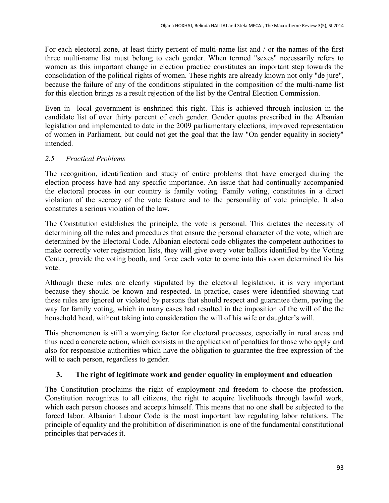For each electoral zone, at least thirty percent of multi-name list and / or the names of the first three multi-name list must belong to each gender. When termed "sexes" necessarily refers to women as this important change in election practice constitutes an important step towards the consolidation of the political rights of women. These rights are already known not only "de jure", because the failure of any of the conditions stipulated in the composition of the multi-name list for this election brings as a result rejection of the list by the Central Election Commission.

Even in local government is enshrined this right. This is achieved through inclusion in the candidate list of over thirty percent of each gender. Gender quotas prescribed in the Albanian legislation and implemented to date in the 2009 parliamentary elections, improved representation of women in Parliament, but could not get the goal that the law "On gender equality in society" intended.

## *2.5 Practical Problems*

The recognition, identification and study of entire problems that have emerged during the election process have had any specific importance. An issue that had continually accompanied the electoral process in our country is family voting. Family voting, constitutes in a direct violation of the secrecy of the vote feature and to the personality of vote principle. It also constitutes a serious violation of the law.

The Constitution establishes the principle, the vote is personal. This dictates the necessity of determining all the rules and procedures that ensure the personal character of the vote, which are determined by the Electoral Code. Albanian electoral code obligates the competent authorities to make correctly voter registration lists, they will give every voter ballots identified by the Voting Center, provide the voting booth, and force each voter to come into this room determined for his vote.

Although these rules are clearly stipulated by the electoral legislation, it is very important because they should be known and respected. In practice, cases were identified showing that these rules are ignored or violated by persons that should respect and guarantee them, paving the way for family voting, which in many cases had resulted in the imposition of the will of the the household head, without taking into consideration the will of his wife or daughter's will.

This phenomenon is still a worrying factor for electoral processes, especially in rural areas and thus need a concrete action, which consists in the application of penalties for those who apply and also for responsible authorities which have the obligation to guarantee the free expression of the will to each person, regardless to gender.

## **3. The right of legitimate work and gender equality in employment and education**

The Constitution proclaims the right of employment and freedom to choose the profession. Constitution recognizes to all citizens, the right to acquire livelihoods through lawful work, which each person chooses and accepts himself. This means that no one shall be subjected to the forced labor. Albanian Labour Code is the most important law regulating labor relations. The principle of equality and the prohibition of discrimination is one of the fundamental constitutional principles that pervades it.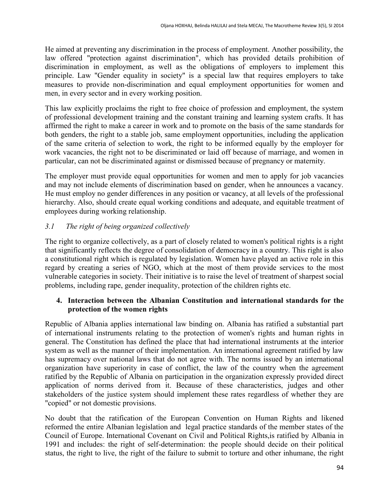He aimed at preventing any discrimination in the process of employment. Another possibility, the law offered "protection against discrimination", which has provided details prohibition of discrimination in employment, as well as the obligations of employers to implement this principle. Law "Gender equality in society" is a special law that requires employers to take measures to provide non-discrimination and equal employment opportunities for women and men, in every sector and in every working position.

This law explicitly proclaims the right to free choice of profession and employment, the system of professional development training and the constant training and learning system crafts. It has affirmed the right to make a career in work and to promote on the basis of the same standards for both genders, the right to a stable job, same employment opportunities, including the application of the same criteria of selection to work, the right to be informed equally by the employer for work vacancies, the right not to be discriminated or laid off because of marriage, and women in particular, can not be discriminated against or dismissed because of pregnancy or maternity.

The employer must provide equal opportunities for women and men to apply for job vacancies and may not include elements of discrimination based on gender, when he announces a vacancy. He must employ no gender differences in any position or vacancy, at all levels of the professional hierarchy. Also, should create equal working conditions and adequate, and equitable treatment of employees during working relationship.

# *3.1 The right of being organized collectively*

The right to organize collectively, as a part of closely related to women's political rights is a right that significantly reflects the degree of consolidation of democracy in a country. This right is also a constitutional right which is regulated by legislation. Women have played an active role in this regard by creating a series of NGO, which at the most of them provide services to the most vulnerable categories in society. Their initiative is to raise the level of treatment of sharpest social problems, including rape, gender inequality, protection of the children rights etc.

## **4. Interaction between the Albanian Constitution and international standards for the protection of the women rights**

Republic of Albania applies international law binding on. Albania has ratified a substantial part of international instruments relating to the protection of women's rights and human rights in general. The Constitution has defined the place that had international instruments at the interior system as well as the manner of their implementation. An international agreement ratified by law has supremacy over national laws that do not agree with. The norms issued by an international organization have superiority in case of conflict, the law of the country when the agreement ratified by the Republic of Albania on participation in the organization expressly provided direct application of norms derived from it. Because of these characteristics, judges and other stakeholders of the justice system should implement these rates regardless of whether they are "copied" or not domestic provisions.

No doubt that the ratification of the European Convention on Human Rights and likened reformed the entire Albanian legislation and legal practice standards of the member states of the Council of Europe. International Covenant on Civil and Political Rights,is ratified by Albania in 1991 and includes: the right of self-determination: the people should decide on their political status, the right to live, the right of the failure to submit to torture and other inhumane, the right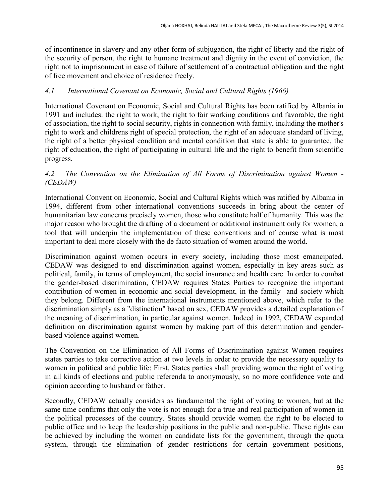of incontinence in slavery and any other form of subjugation, the right of liberty and the right of the security of person, the right to humane treatment and dignity in the event of conviction, the right not to imprisonment in case of failure of settlement of a contractual obligation and the right of free movement and choice of residence freely.

## *4.1 International Covenant on Economic, Social and Cultural Rights (1966)*

International Covenant on Economic, Social and Cultural Rights has been ratified by Albania in 1991 and includes: the right to work, the right to fair working conditions and favorable, the right of association, the right to social security, rights in connection with family, including the mother's right to work and childrens right of special protection, the right of an adequate standard of living, the right of a better physical condition and mental condition that state is able to guarantee, the right of education, the right of participating in cultural life and the right to benefit from scientific progress.

#### *4.2 The Convention on the Elimination of All Forms of Discrimination against Women - (CEDAW)*

International Convent on Economic, Social and Cultural Rights which was ratified by Albania in 1994, different from other international conventions succeeds in bring about the center of humanitarian law concerns precisely women, those who constitute half of humanity. This was the major reason who brought the drafting of a document or additional instrument only for women, a tool that will underpin the implementation of these conventions and of course what is most important to deal more closely with the de facto situation of women around the world.

Discrimination against women occurs in every society, including those most emancipated. CEDAW was designed to end discrimination against women, especially in key areas such as political, family, in terms of employment, the social insurance and health care. In order to combat the gender-based discrimination, CEDAW requires States Parties to recognize the important contribution of women in economic and social development, in the family and society which they belong. Different from the international instruments mentioned above, which refer to the discrimination simply as a "distinction" based on sex, CEDAW provides a detailed explanation of the meaning of discrimination, in particular against women. Indeed in 1992, CEDAW expanded definition on discrimination against women by making part of this determination and genderbased violence against women.

The Convention on the Elimination of All Forms of Discrimination against Women requires states parties to take corrective action at two levels in order to provide the necessary equality to women in political and public life: First, States parties shall providing women the right of voting in all kinds of elections and public referenda to anonymously, so no more confidence vote and opinion according to husband or father.

Secondly, CEDAW actually considers as fundamental the right of voting to women, but at the same time confirms that only the vote is not enough for a true and real participation of women in the political processes of the country. States should provide women the right to be elected to public office and to keep the leadership positions in the public and non-public. These rights can be achieved by including the women on candidate lists for the government, through the quota system, through the elimination of gender restrictions for certain government positions,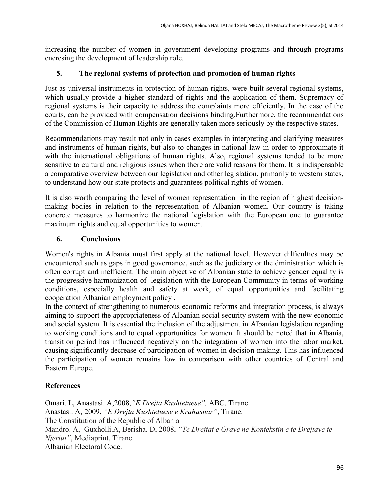increasing the number of women in government developing programs and through programs encresing the development of leadership role.

## **5. The regional systems of protection and promotion of human rights**

Just as universal instruments in protection of human rights, were built several regional systems, which usually provide a higher standard of rights and the application of them. Supremacy of regional systems is their capacity to address the complaints more efficiently. In the case of the courts, can be provided with compensation decisions binding.Furthermore, the recommendations of the Commission of Human Rights are generally taken more seriously by the respective states.

Recommendations may result not only in cases-examples in interpreting and clarifying measures and instruments of human rights, but also to changes in national law in order to approximate it with the international obligations of human rights. Also, regional systems tended to be more sensitive to cultural and religious issues when there are valid reasons for them. It is indispensable a comparative overview between our legislation and other legislation, primarily to western states, to understand how our state protects and guarantees political rights of women.

It is also worth comparing the level of women representation in the region of highest decisionmaking bodies in relation to the representation of Albanian women. Our country is taking concrete measures to harmonize the national legislation with the European one to guarantee maximum rights and equal opportunities to women.

## **6. Conclusions**

Women's rights in Albania must first apply at the national level. However difficulties may be encountered such as gaps in good governance, such as the judiciary or the dministration which is often corrupt and inefficient. The main objective of Albanian state to achieve gender equality is the progressive harmonization of legislation with the European Community in terms of working conditions, especially health and safety at work, of equal opportunities and facilitating cooperation Albanian employment policy .

In the context of strengthening to numerous economic reforms and integration process, is always aiming to support the appropriateness of Albanian social security system with the new economic and social system. It is essential the inclusion of the adjustment in Albanian legislation regarding to working conditions and to equal opportunities for women. It should be noted that in Albania, transition period has influenced negatively on the integration of women into the labor market, causing significantly decrease of participation of women in decision-making. This has influenced the participation of women remains low in comparison with other countries of Central and Eastern Europe.

## **References**

Omari. L, Anastasi. A,2008,*"E Drejta Kushtetuese",* ABC, Tirane. Anastasi. A, 2009, *"E Drejta Kushtetuese e Krahasuar"*, Tirane. The Constitution of the Republic of Albania Mandro. A, Guxholli.A, Berisha. D, 2008, *"Te Drejtat e Grave ne Kontekstin e te Drejtave te Njeriut"*, Mediaprint, Tirane. Albanian Electoral Code.